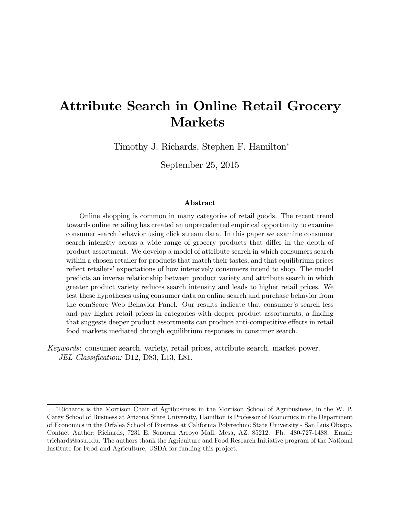# Attribute Search in Online Retail Grocery Markets

Timothy J. Richards, Stephen F. Hamilton<sup>∗</sup>

September 25, 2015

#### Abstract

Online shopping is common in many categories of retail goods. The recent trend towards online retailing has created an unprecedented empirical opportunity to examine consumer search behavior using click stream data. In this paper we examine consumer search intensity across a wide range of grocery products that differ in the depth of product assortment. We develop a model of attribute search in which consumers search within a chosen retailer for products that match their tastes, and that equilibrium prices reflect retailers' expectations of how intensively consumers intend to shop. The model predicts an inverse relationship between product variety and attribute search in which greater product variety reduces search intensity and leads to higher retail prices. We test these hypotheses using consumer data on online search and purchase behavior from the comScore Web Behavior Panel. Our results indicate that consumer's search less and pay higher retail prices in categories with deeper product assortments, a finding that suggests deeper product assortments can produce anti-competitive effects in retail food markets mediated through equilibrium responses in consumer search.

Keywords: consumer search, variety, retail prices, attribute search, market power. JEL Classification: D12, D83, L13, L81.

<sup>∗</sup>Richards is the Morrison Chair of Agribusiness in the Morrison School of Agribusiness, in the W. P. Carey School of Business at Arizona State University, Hamilton is Professor of Economics in the Department of Economics in the Orfalea School of Business at California Polytechnic State University - San Luis Obispo. Contact Author: Richards, 7231 E. Sonoran Arroyo Mall, Mesa, AZ. 85212. Ph. 480-727-1488. Email: trichards@asu.edu. The authors thank the Agriculture and Food Research Initiative program of the National Institute for Food and Agriculture, USDA for funding this project.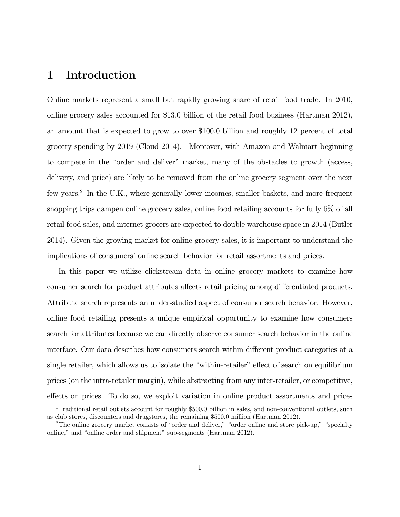## 1 Introduction

Online markets represent a small but rapidly growing share of retail food trade. In 2010, online grocery sales accounted for \$13.0 billion of the retail food business (Hartman 2012), an amount that is expected to grow to over \$100.0 billion and roughly 12 percent of total grocery spending by 2019 (Cloud 2014).<sup>1</sup> Moreover, with Amazon and Walmart beginning to compete in the "order and deliver" market, many of the obstacles to growth (access, delivery, and price) are likely to be removed from the online grocery segment over the next few years.<sup>2</sup> In the U.K., where generally lower incomes, smaller baskets, and more frequent shopping trips dampen online grocery sales, online food retailing accounts for fully 6% of all retail food sales, and internet grocers are expected to double warehouse space in 2014 (Butler 2014). Given the growing market for online grocery sales, it is important to understand the implications of consumers' online search behavior for retail assortments and prices.

In this paper we utilize clickstream data in online grocery markets to examine how consumer search for product attributes affects retail pricing among differentiated products. Attribute search represents an under-studied aspect of consumer search behavior. However, online food retailing presents a unique empirical opportunity to examine how consumers search for attributes because we can directly observe consumer search behavior in the online interface. Our data describes how consumers search within different product categories at a single retailer, which allows us to isolate the "within-retailer" effect of search on equilibrium prices (on the intra-retailer margin), while abstracting from any inter-retailer, or competitive, effects on prices. To do so, we exploit variation in online product assortments and prices

<sup>&</sup>lt;sup>1</sup>Traditional retail outlets account for roughly \$500.0 billion in sales, and non-conventional outlets, such as club stores, discounters and drugstores, the remaining \$500.0 million (Hartman 2012).

<sup>&</sup>lt;sup>2</sup>The online grocery market consists of "order and deliver," "order online and store pick-up," "specialty online," and "online order and shipment" sub-segments (Hartman 2012).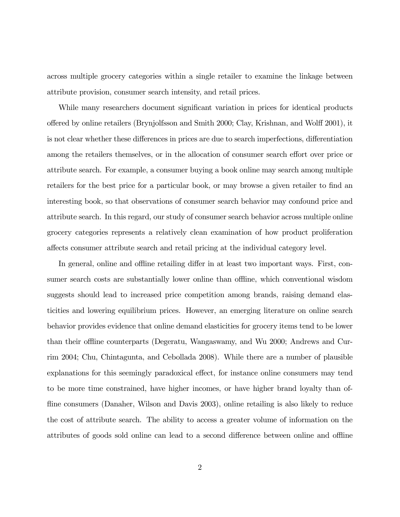across multiple grocery categories within a single retailer to examine the linkage between attribute provision, consumer search intensity, and retail prices.

While many researchers document significant variation in prices for identical products offered by online retailers (Brynjolfsson and Smith 2000; Clay, Krishnan, and Wolff 2001), it is not clear whether these differences in prices are due to search imperfections, differentiation among the retailers themselves, or in the allocation of consumer search effort over price or attribute search. For example, a consumer buying a book online may search among multiple retailers for the best price for a particular book, or may browse a given retailer to find an interesting book, so that observations of consumer search behavior may confound price and attribute search. In this regard, our study of consumer search behavior across multiple online grocery categories represents a relatively clean examination of how product proliferation affects consumer attribute search and retail pricing at the individual category level.

In general, online and offline retailing differ in at least two important ways. First, consumer search costs are substantially lower online than offline, which conventional wisdom suggests should lead to increased price competition among brands, raising demand elasticities and lowering equilibrium prices. However, an emerging literature on online search behavior provides evidence that online demand elasticities for grocery items tend to be lower than their offline counterparts (Degeratu, Wangaswamy, and Wu 2000; Andrews and Currim 2004; Chu, Chintagunta, and Cebollada 2008). While there are a number of plausible explanations for this seemingly paradoxical effect, for instance online consumers may tend to be more time constrained, have higher incomes, or have higher brand loyalty than offline consumers (Danaher, Wilson and Davis 2003), online retailing is also likely to reduce the cost of attribute search. The ability to access a greater volume of information on the attributes of goods sold online can lead to a second difference between online and offline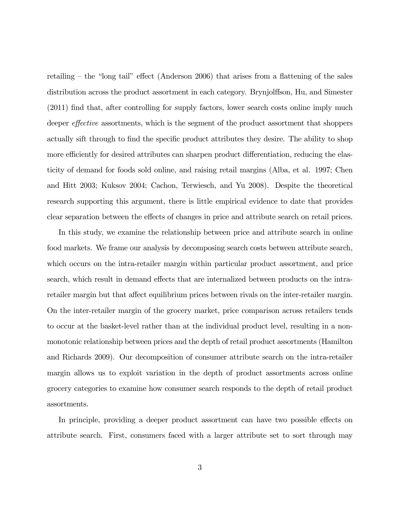retailing — the "long tail" effect (Anderson 2006) that arises from a flattening of the sales distribution across the product assortment in each category. Brynjolffson, Hu, and Simester (2011) find that, after controlling for supply factors, lower search costs online imply much deeper effective assortments, which is the segment of the product assortment that shoppers actually sift through to find the specific product attributes they desire. The ability to shop more efficiently for desired attributes can sharpen product differentiation, reducing the elasticity of demand for foods sold online, and raising retail margins (Alba, et al. 1997; Chen and Hitt 2003; Kuksov 2004; Cachon, Terwiesch, and Yu 2008). Despite the theoretical research supporting this argument, there is little empirical evidence to date that provides clear separation between the effects of changes in price and attribute search on retail prices.

In this study, we examine the relationship between price and attribute search in online food markets. We frame our analysis by decomposing search costs between attribute search, which occurs on the intra-retailer margin within particular product assortment, and price search, which result in demand effects that are internalized between products on the intraretailer margin but that affect equilibrium prices between rivals on the inter-retailer margin. On the inter-retailer margin of the grocery market, price comparison across retailers tends to occur at the basket-level rather than at the individual product level, resulting in a nonmonotonic relationship between prices and the depth of retail product assortments (Hamilton and Richards 2009). Our decomposition of consumer attribute search on the intra-retailer margin allows us to exploit variation in the depth of product assortments across online grocery categories to examine how consumer search responds to the depth of retail product assortments.

In principle, providing a deeper product assortment can have two possible effects on attribute search. First, consumers faced with a larger attribute set to sort through may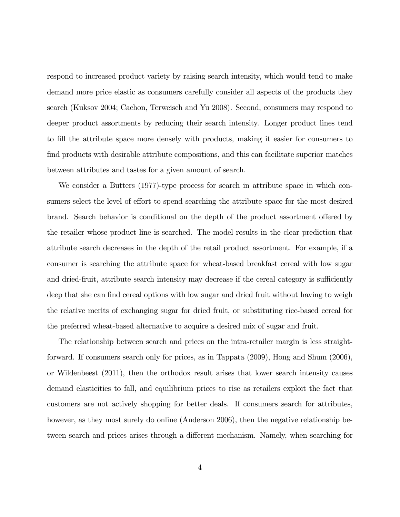respond to increased product variety by raising search intensity, which would tend to make demand more price elastic as consumers carefully consider all aspects of the products they search (Kuksov 2004; Cachon, Terweisch and Yu 2008). Second, consumers may respond to deeper product assortments by reducing their search intensity. Longer product lines tend to fill the attribute space more densely with products, making it easier for consumers to find products with desirable attribute compositions, and this can facilitate superior matches between attributes and tastes for a given amount of search.

We consider a Butters (1977)-type process for search in attribute space in which consumers select the level of effort to spend searching the attribute space for the most desired brand. Search behavior is conditional on the depth of the product assortment offered by the retailer whose product line is searched. The model results in the clear prediction that attribute search decreases in the depth of the retail product assortment. For example, if a consumer is searching the attribute space for wheat-based breakfast cereal with low sugar and dried-fruit, attribute search intensity may decrease if the cereal category is sufficiently deep that she can find cereal options with low sugar and dried fruit without having to weigh the relative merits of exchanging sugar for dried fruit, or substituting rice-based cereal for the preferred wheat-based alternative to acquire a desired mix of sugar and fruit.

The relationship between search and prices on the intra-retailer margin is less straightforward. If consumers search only for prices, as in Tappata (2009), Hong and Shum (2006), or Wildenbeest (2011), then the orthodox result arises that lower search intensity causes demand elasticities to fall, and equilibrium prices to rise as retailers exploit the fact that customers are not actively shopping for better deals. If consumers search for attributes, however, as they most surely do online (Anderson 2006), then the negative relationship between search and prices arises through a different mechanism. Namely, when searching for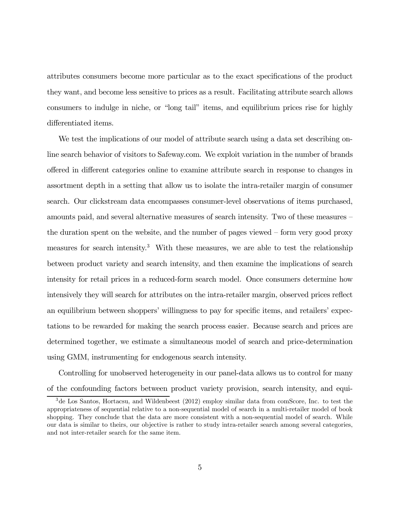attributes consumers become more particular as to the exact specifications of the product they want, and become less sensitive to prices as a result. Facilitating attribute search allows consumers to indulge in niche, or "long tail" items, and equilibrium prices rise for highly differentiated items.

We test the implications of our model of attribute search using a data set describing online search behavior of visitors to Safeway.com. We exploit variation in the number of brands offered in different categories online to examine attribute search in response to changes in assortment depth in a setting that allow us to isolate the intra-retailer margin of consumer search. Our clickstream data encompasses consumer-level observations of items purchased, amounts paid, and several alternative measures of search intensity. Two of these measures the duration spent on the website, and the number of pages viewed — form very good proxy measures for search intensity.3 With these measures, we are able to test the relationship between product variety and search intensity, and then examine the implications of search intensity for retail prices in a reduced-form search model. Once consumers determine how intensively they will search for attributes on the intra-retailer margin, observed prices reflect an equilibrium between shoppers' willingness to pay for specific items, and retailers' expectations to be rewarded for making the search process easier. Because search and prices are determined together, we estimate a simultaneous model of search and price-determination using GMM, instrumenting for endogenous search intensity.

Controlling for unobserved heterogeneity in our panel-data allows us to control for many of the confounding factors between product variety provision, search intensity, and equi-

<sup>3</sup>de Los Santos, Hortacsu, and Wildenbeest (2012) employ similar data from comScore, Inc. to test the appropriateness of sequential relative to a non-sequential model of search in a multi-retailer model of book shopping. They conclude that the data are more consistent with a non-sequential model of search. While our data is similar to theirs, our objective is rather to study intra-retailer search among several categories, and not inter-retailer search for the same item.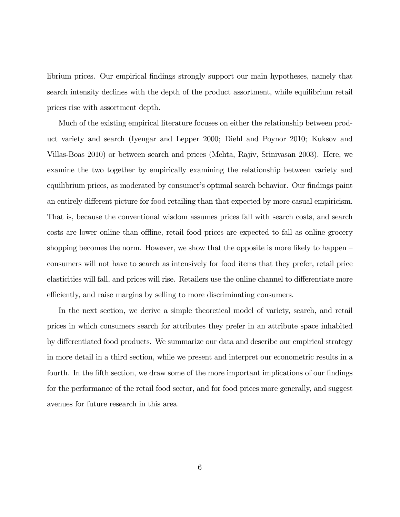librium prices. Our empirical findings strongly support our main hypotheses, namely that search intensity declines with the depth of the product assortment, while equilibrium retail prices rise with assortment depth.

Much of the existing empirical literature focuses on either the relationship between product variety and search (Iyengar and Lepper 2000; Diehl and Poynor 2010; Kuksov and Villas-Boas 2010) or between search and prices (Mehta, Rajiv, Srinivasan 2003). Here, we examine the two together by empirically examining the relationship between variety and equilibrium prices, as moderated by consumer's optimal search behavior. Our findings paint an entirely different picture for food retailing than that expected by more casual empiricism. That is, because the conventional wisdom assumes prices fall with search costs, and search costs are lower online than offline, retail food prices are expected to fall as online grocery shopping becomes the norm. However, we show that the opposite is more likely to happen – consumers will not have to search as intensively for food items that they prefer, retail price elasticities will fall, and prices will rise. Retailers use the online channel to differentiate more efficiently, and raise margins by selling to more discriminating consumers.

In the next section, we derive a simple theoretical model of variety, search, and retail prices in which consumers search for attributes they prefer in an attribute space inhabited by differentiated food products. We summarize our data and describe our empirical strategy in more detail in a third section, while we present and interpret our econometric results in a fourth. In the fifth section, we draw some of the more important implications of our findings for the performance of the retail food sector, and for food prices more generally, and suggest avenues for future research in this area.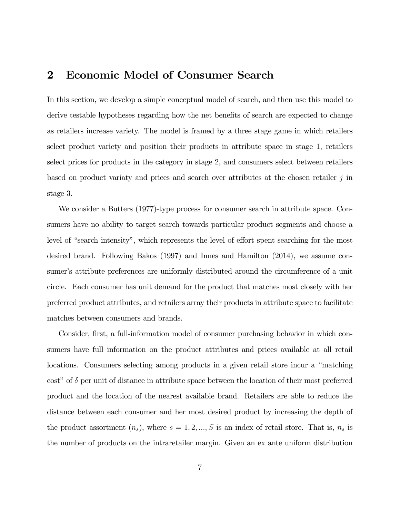### 2 Economic Model of Consumer Search

In this section, we develop a simple conceptual model of search, and then use this model to derive testable hypotheses regarding how the net benefits of search are expected to change as retailers increase variety. The model is framed by a three stage game in which retailers select product variety and position their products in attribute space in stage 1, retailers select prices for products in the category in stage 2, and consumers select between retailers based on product variaty and prices and search over attributes at the chosen retailer  $j$  in stage 3.

We consider a Butters (1977)-type process for consumer search in attribute space. Consumers have no ability to target search towards particular product segments and choose a level of "search intensity", which represents the level of effort spent searching for the most desired brand. Following Bakos (1997) and Innes and Hamilton (2014), we assume consumer's attribute preferences are uniformly distributed around the circumference of a unit circle. Each consumer has unit demand for the product that matches most closely with her preferred product attributes, and retailers array their products in attribute space to facilitate matches between consumers and brands.

Consider, first, a full-information model of consumer purchasing behavior in which consumers have full information on the product attributes and prices available at all retail locations. Consumers selecting among products in a given retail store incur a "matching cost" of  $\delta$  per unit of distance in attribute space between the location of their most preferred product and the location of the nearest available brand. Retailers are able to reduce the distance between each consumer and her most desired product by increasing the depth of the product assortment  $(n_s)$ , where  $s = 1, 2, ..., S$  is an index of retail store. That is,  $n_s$  is the number of products on the intraretailer margin. Given an ex ante uniform distribution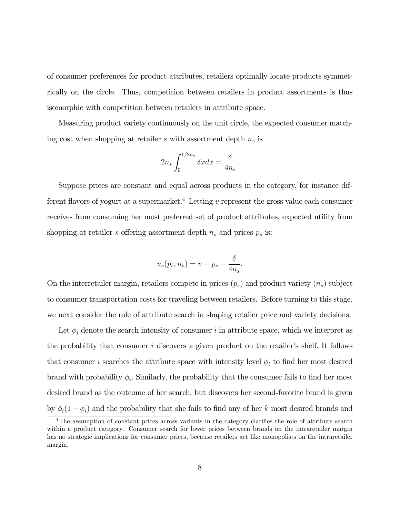of consumer preferences for product attributes, retailers optimally locate products symmetrically on the circle. Thus, competition between retailers in product assortments is thus isomorphic with competition between retailers in attribute space.

Measuring product variety continuously on the unit circle, the expected consumer matching cost when shopping at retailer  $s$  with assortment depth  $n_s$  is

$$
2n_s \int_0^{1/2n_s} \delta x dx = \frac{\delta}{4n_s}.
$$

Suppose prices are constant and equal across products in the category, for instance different flavors of yogurt at a supermarket.<sup>4</sup> Letting  $v$  represent the gross value each consumer receives from consuming her most preferred set of product attributes, expected utility from shopping at retailer s offering assortment depth  $n_s$  and prices  $p_s$  is:

$$
u_s(p_s, n_s) = v - p_s - \frac{\delta}{4n_s}.
$$

On the interretailer margin, retailers compete in prices  $(p_s)$  and product variety  $(n_s)$  subject to consumer transportation costs for traveling between retailers. Before turning to this stage, we next consider the role of attribute search in shaping retailer price and variety decisions.

Let  $\phi_i$  denote the search intensity of consumer *i* in attribute space, which we interpret as the probability that consumer  $i$  discovers a given product on the retailer's shelf. It follows that consumer *i* searches the attribute space with intensity level  $\phi_i$  to find her most desired brand with probability  $\phi_i$ . Similarly, the probability that the consumer fails to find her most desired brand as the outcome of her search, but discovers her second-favorite brand is given by  $\phi_i(1-\phi_i)$  and the probability that she fails to find any of her k most desired brands and

<sup>&</sup>lt;sup>4</sup>The assumption of constant prices across variants in the category clarifies the role of attribute search within a product category. Consumer search for lower prices between brands on the intraretailer margin has no strategic implications for consumer prices, because retailers act like monopolists on the intraretailer margin.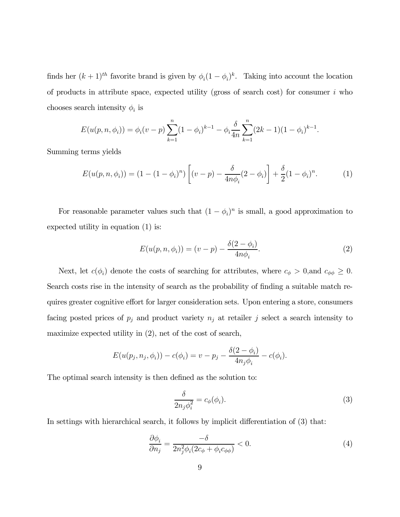finds her  $(k+1)$ <sup>th</sup> favorite brand is given by  $\phi_i(1-\phi_i)^k$ . Taking into account the location of products in attribute space, expected utility (gross of search cost) for consumer  $i$  who chooses search intensity  $\phi_i$  is

$$
E(u(p, n, \phi_i)) = \phi_i(v - p) \sum_{k=1}^n (1 - \phi_i)^{k-1} - \phi_i \frac{\delta}{4n} \sum_{k=1}^n (2k - 1)(1 - \phi_i)^{k-1}.
$$

Summing terms yields

$$
E(u(p, n, \phi_i)) = (1 - (1 - \phi_i)^n) \left[ (v - p) - \frac{\delta}{4n\phi_i} (2 - \phi_i) \right] + \frac{\delta}{2} (1 - \phi_i)^n.
$$
 (1)

For reasonable parameter values such that  $(1 - \phi_i)^n$  is small, a good approximation to expected utility in equation (1) is:

$$
E(u(p, n, \phi_i)) = (v - p) - \frac{\delta(2 - \phi_i)}{4n\phi_i}.
$$
 (2)

Next, let  $c(\phi_i)$  denote the costs of searching for attributes, where  $c_{\phi} > 0$ , and  $c_{\phi\phi} \geq 0$ . Search costs rise in the intensity of search as the probability of finding a suitable match requires greater cognitive effort for larger consideration sets. Upon entering a store, consumers facing posted prices of  $p_j$  and product variety  $n_j$  at retailer j select a search intensity to maximize expected utility in (2), net of the cost of search,

$$
E(u(p_j, n_j, \phi_i)) - c(\phi_i) = v - p_j - \frac{\delta(2 - \phi_i)}{4n_j\phi_i} - c(\phi_i).
$$

The optimal search intensity is then defined as the solution to:

$$
\frac{\delta}{2n_j\phi_i^2} = c_\phi(\phi_i). \tag{3}
$$

In settings with hierarchical search, it follows by implicit differentiation of (3) that:

$$
\frac{\partial \phi_i}{\partial n_j} = \frac{-\delta}{2n_j^2 \phi_i (2c_\phi + \phi_i c_{\phi\phi})} < 0. \tag{4}
$$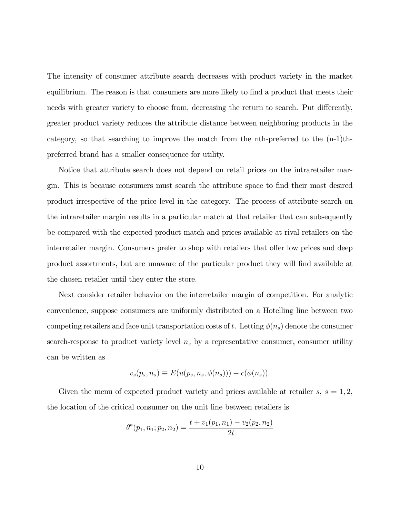The intensity of consumer attribute search decreases with product variety in the market equilibrium. The reason is that consumers are more likely to find a product that meets their needs with greater variety to choose from, decreasing the return to search. Put differently, greater product variety reduces the attribute distance between neighboring products in the category, so that searching to improve the match from the nth-preferred to the (n-1)thpreferred brand has a smaller consequence for utility.

Notice that attribute search does not depend on retail prices on the intraretailer margin. This is because consumers must search the attribute space to find their most desired product irrespective of the price level in the category. The process of attribute search on the intraretailer margin results in a particular match at that retailer that can subsequently be compared with the expected product match and prices available at rival retailers on the interretailer margin. Consumers prefer to shop with retailers that offer low prices and deep product assortments, but are unaware of the particular product they will find available at the chosen retailer until they enter the store.

Next consider retailer behavior on the interretailer margin of competition. For analytic convenience, suppose consumers are uniformly distributed on a Hotelling line between two competing retailers and face unit transportation costs of t. Letting  $\phi(n_s)$  denote the consumer search-response to product variety level  $n<sub>s</sub>$  by a representative consumer, consumer utility can be written as

$$
v_s(p_s, n_s) \equiv E(u(p_s, n_s, \phi(n_s))) - c(\phi(n_s)).
$$

Given the menu of expected product variety and prices available at retailer  $s, s = 1, 2$ , the location of the critical consumer on the unit line between retailers is

$$
\theta^*(p_1, n_1; p_2, n_2) = \frac{t + v_1(p_1, n_1) - v_2(p_2, n_2)}{2t}
$$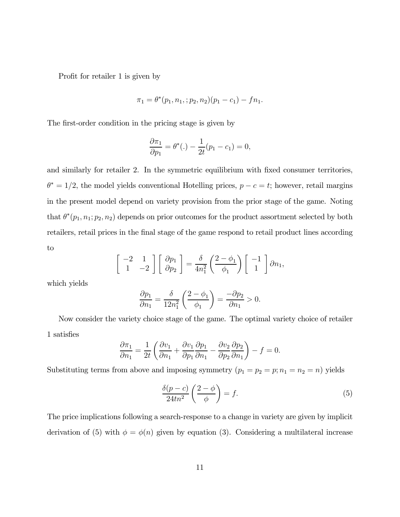Profit for retailer 1 is given by

$$
\pi_1 = \theta^*(p_1, n_1, ; p_2, n_2)(p_1 - c_1) - fn_1.
$$

The first-order condition in the pricing stage is given by

$$
\frac{\partial \pi_1}{\partial p_1} = \theta^*(.) - \frac{1}{2t}(p_1 - c_1) = 0,
$$

and similarly for retailer 2. In the symmetric equilibrium with fixed consumer territories,  $\theta^* = 1/2$ , the model yields conventional Hotelling prices,  $p - c = t$ ; however, retail margins in the present model depend on variety provision from the prior stage of the game. Noting that  $\theta^*(p_1, n_1; p_2, n_2)$  depends on prior outcomes for the product assortment selected by both retailers, retail prices in the final stage of the game respond to retail product lines according to

$$
\begin{bmatrix} -2 & 1 \ 1 & -2 \end{bmatrix} \begin{bmatrix} \partial p_1 \\ \partial p_2 \end{bmatrix} = \frac{\delta}{4n_1^2} \left( \frac{2-\phi_1}{\phi_1} \right) \begin{bmatrix} -1 \\ 1 \end{bmatrix} \partial n_1,
$$

which yields

$$
\frac{\partial p_1}{\partial n_1} = \frac{\delta}{12n_1^2} \left( \frac{2 - \phi_1}{\phi_1} \right) = \frac{-\partial p_2}{\partial n_1} > 0.
$$

Now consider the variety choice stage of the game. The optimal variety choice of retailer 1 satisfies

$$
\frac{\partial \pi_1}{\partial n_1} = \frac{1}{2t} \left( \frac{\partial v_1}{\partial n_1} + \frac{\partial v_1}{\partial p_1} \frac{\partial p_1}{\partial n_1} - \frac{\partial v_2}{\partial p_2} \frac{\partial p_2}{\partial n_1} \right) - f = 0.
$$

Substituting terms from above and imposing symmetry  $(p_1 = p_2 = p; n_1 = n_2 = n)$  yields

$$
\frac{\delta(p-c)}{24tn^2} \left(\frac{2-\phi}{\phi}\right) = f.
$$
\n(5)

The price implications following a search-response to a change in variety are given by implicit derivation of (5) with  $\phi = \phi(n)$  given by equation (3). Considering a multilateral increase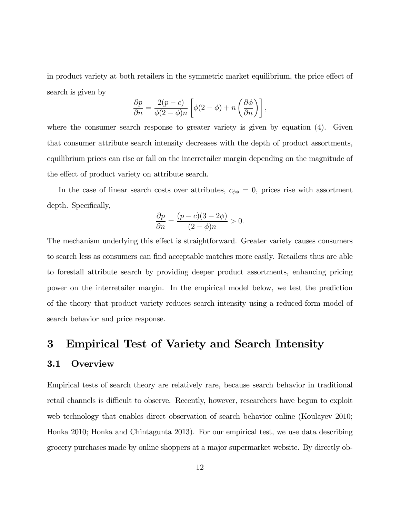in product variety at both retailers in the symmetric market equilibrium, the price effect of search is given by

$$
\frac{\partial p}{\partial n} = \frac{2(p-c)}{\phi(2-\phi)n} \left[ \phi(2-\phi) + n \left( \frac{\partial \phi}{\partial n} \right) \right],
$$

where the consumer search response to greater variety is given by equation (4). Given that consumer attribute search intensity decreases with the depth of product assortments, equilibrium prices can rise or fall on the interretailer margin depending on the magnitude of the effect of product variety on attribute search.

In the case of linear search costs over attributes,  $c_{\phi\phi} = 0$ , prices rise with assortment depth. Specifically,

$$
\frac{\partial p}{\partial n} = \frac{(p-c)(3-2\phi)}{(2-\phi)n} > 0.
$$

The mechanism underlying this effect is straightforward. Greater variety causes consumers to search less as consumers can find acceptable matches more easily. Retailers thus are able to forestall attribute search by providing deeper product assortments, enhancing pricing power on the interretailer margin. In the empirical model below, we test the prediction of the theory that product variety reduces search intensity using a reduced-form model of search behavior and price response.

### 3 Empirical Test of Variety and Search Intensity

#### 3.1 Overview

Empirical tests of search theory are relatively rare, because search behavior in traditional retail channels is difficult to observe. Recently, however, researchers have begun to exploit web technology that enables direct observation of search behavior online (Koulayev 2010; Honka 2010; Honka and Chintagunta 2013). For our empirical test, we use data describing grocery purchases made by online shoppers at a major supermarket website. By directly ob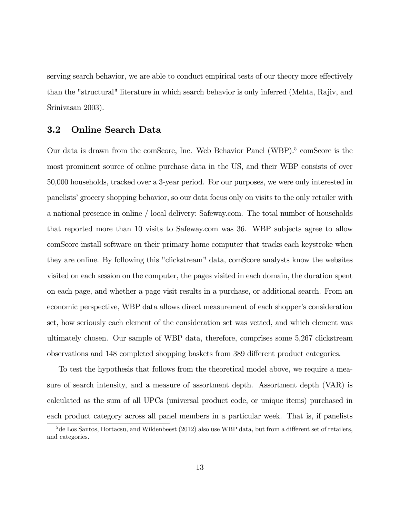serving search behavior, we are able to conduct empirical tests of our theory more effectively than the "structural" literature in which search behavior is only inferred (Mehta, Rajiv, and Srinivasan 2003).

#### 3.2 Online Search Data

Our data is drawn from the comScore, Inc. Web Behavior Panel (WBP).<sup>5</sup> comScore is the most prominent source of online purchase data in the US, and their WBP consists of over 50,000 households, tracked over a 3-year period. For our purposes, we were only interested in panelists' grocery shopping behavior, so our data focus only on visits to the only retailer with a national presence in online / local delivery: Safeway.com. The total number of households that reported more than 10 visits to Safeway.com was 36. WBP subjects agree to allow comScore install software on their primary home computer that tracks each keystroke when they are online. By following this "clickstream" data, comScore analysts know the websites visited on each session on the computer, the pages visited in each domain, the duration spent on each page, and whether a page visit results in a purchase, or additional search. From an economic perspective, WBP data allows direct measurement of each shopper's consideration set, how seriously each element of the consideration set was vetted, and which element was ultimately chosen. Our sample of WBP data, therefore, comprises some 5,267 clickstream observations and 148 completed shopping baskets from 389 different product categories.

To test the hypothesis that follows from the theoretical model above, we require a measure of search intensity, and a measure of assortment depth. Assortment depth (VAR) is calculated as the sum of all UPCs (universal product code, or unique items) purchased in each product category across all panel members in a particular week. That is, if panelists

 $5$ de Los Santos, Hortacsu, and Wildenbeest (2012) also use WBP data, but from a different set of retailers, and categories.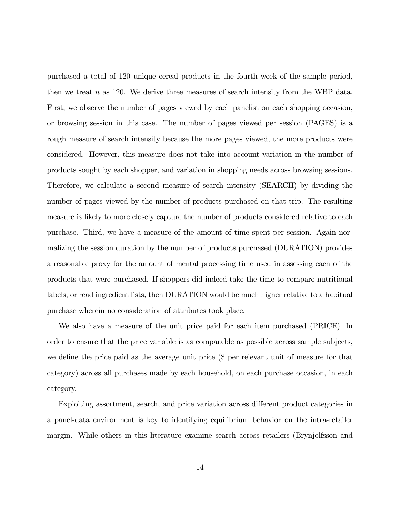purchased a total of 120 unique cereal products in the fourth week of the sample period, then we treat  $n$  as 120. We derive three measures of search intensity from the WBP data. First, we observe the number of pages viewed by each panelist on each shopping occasion, or browsing session in this case. The number of pages viewed per session (PAGES) is a rough measure of search intensity because the more pages viewed, the more products were considered. However, this measure does not take into account variation in the number of products sought by each shopper, and variation in shopping needs across browsing sessions. Therefore, we calculate a second measure of search intensity (SEARCH) by dividing the number of pages viewed by the number of products purchased on that trip. The resulting measure is likely to more closely capture the number of products considered relative to each purchase. Third, we have a measure of the amount of time spent per session. Again normalizing the session duration by the number of products purchased (DURATION) provides a reasonable proxy for the amount of mental processing time used in assessing each of the products that were purchased. If shoppers did indeed take the time to compare nutritional labels, or read ingredient lists, then DURATION would be much higher relative to a habitual purchase wherein no consideration of attributes took place.

We also have a measure of the unit price paid for each item purchased (PRICE). In order to ensure that the price variable is as comparable as possible across sample subjects, we define the price paid as the average unit price (\$ per relevant unit of measure for that category) across all purchases made by each household, on each purchase occasion, in each category.

Exploiting assortment, search, and price variation across different product categories in a panel-data environment is key to identifying equilibrium behavior on the intra-retailer margin. While others in this literature examine search across retailers (Brynjolfsson and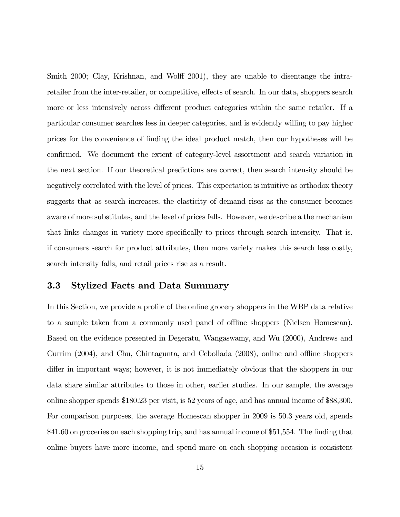Smith 2000; Clay, Krishnan, and Wolff 2001), they are unable to disentange the intraretailer from the inter-retailer, or competitive, effects of search. In our data, shoppers search more or less intensively across different product categories within the same retailer. If a particular consumer searches less in deeper categories, and is evidently willing to pay higher prices for the convenience of finding the ideal product match, then our hypotheses will be confirmed. We document the extent of category-level assortment and search variation in the next section. If our theoretical predictions are correct, then search intensity should be negatively correlated with the level of prices. This expectation is intuitive as orthodox theory suggests that as search increases, the elasticity of demand rises as the consumer becomes aware of more substitutes, and the level of prices falls. However, we describe a the mechanism that links changes in variety more specifically to prices through search intensity. That is, if consumers search for product attributes, then more variety makes this search less costly, search intensity falls, and retail prices rise as a result.

#### 3.3 Stylized Facts and Data Summary

In this Section, we provide a profile of the online grocery shoppers in the WBP data relative to a sample taken from a commonly used panel of offline shoppers (Nielsen Homescan). Based on the evidence presented in Degeratu, Wangaswamy, and Wu (2000), Andrews and Currim (2004), and Chu, Chintagunta, and Cebollada (2008), online and offline shoppers differ in important ways; however, it is not immediately obvious that the shoppers in our data share similar attributes to those in other, earlier studies. In our sample, the average online shopper spends \$180.23 per visit, is 52 years of age, and has annual income of \$88,300. For comparison purposes, the average Homescan shopper in 2009 is 50.3 years old, spends \$41.60 on groceries on each shopping trip, and has annual income of \$51,554. The finding that online buyers have more income, and spend more on each shopping occasion is consistent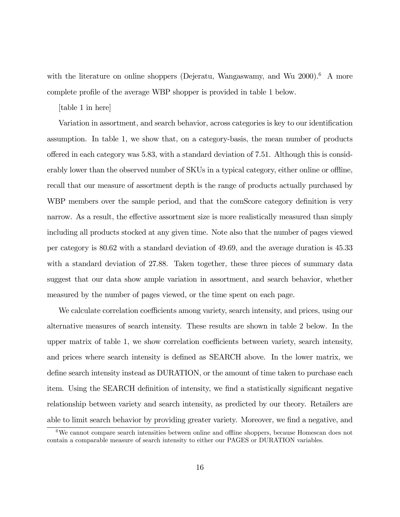with the literature on online shoppers (Dejeratu, Wangaswamy, and Wu 2000).<sup>6</sup> A more complete profile of the average WBP shopper is provided in table 1 below.

#### [table 1 in here]

Variation in assortment, and search behavior, across categories is key to our identification assumption. In table 1, we show that, on a category-basis, the mean number of products offered in each category was 5.83, with a standard deviation of 7.51. Although this is considerably lower than the observed number of SKUs in a typical category, either online or offline, recall that our measure of assortment depth is the range of products actually purchased by WBP members over the sample period, and that the comScore category definition is very narrow. As a result, the effective assortment size is more realistically measured than simply including all products stocked at any given time. Note also that the number of pages viewed per category is 80.62 with a standard deviation of 49.69, and the average duration is 45.33 with a standard deviation of 27.88. Taken together, these three pieces of summary data suggest that our data show ample variation in assortment, and search behavior, whether measured by the number of pages viewed, or the time spent on each page.

We calculate correlation coefficients among variety, search intensity, and prices, using our alternative measures of search intensity. These results are shown in table 2 below. In the upper matrix of table 1, we show correlation coefficients between variety, search intensity, and prices where search intensity is defined as SEARCH above. In the lower matrix, we define search intensity instead as DURATION, or the amount of time taken to purchase each item. Using the SEARCH definition of intensity, we find a statistically significant negative relationship between variety and search intensity, as predicted by our theory. Retailers are able to limit search behavior by providing greater variety. Moreover, we find a negative, and

<sup>6</sup>We cannot compare search intensities between online and offline shoppers, because Homescan does not contain a comparable measure of search intensity to either our PAGES or DURATION variables.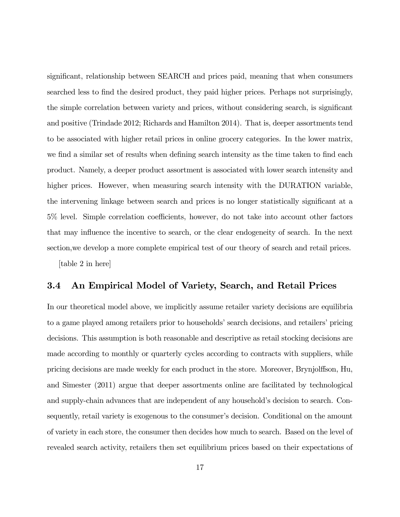significant, relationship between SEARCH and prices paid, meaning that when consumers searched less to find the desired product, they paid higher prices. Perhaps not surprisingly, the simple correlation between variety and prices, without considering search, is significant and positive (Trindade 2012; Richards and Hamilton 2014). That is, deeper assortments tend to be associated with higher retail prices in online grocery categories. In the lower matrix, we find a similar set of results when defining search intensity as the time taken to find each product. Namely, a deeper product assortment is associated with lower search intensity and higher prices. However, when measuring search intensity with the DURATION variable, the intervening linkage between search and prices is no longer statistically significant at a 5% level. Simple correlation coefficients, however, do not take into account other factors that may influence the incentive to search, or the clear endogeneity of search. In the next section,we develop a more complete empirical test of our theory of search and retail prices.

[table 2 in here]

#### 3.4 An Empirical Model of Variety, Search, and Retail Prices

In our theoretical model above, we implicitly assume retailer variety decisions are equilibria to a game played among retailers prior to households' search decisions, and retailers' pricing decisions. This assumption is both reasonable and descriptive as retail stocking decisions are made according to monthly or quarterly cycles according to contracts with suppliers, while pricing decisions are made weekly for each product in the store. Moreover, Brynjolffson, Hu, and Simester (2011) argue that deeper assortments online are facilitated by technological and supply-chain advances that are independent of any household's decision to search. Consequently, retail variety is exogenous to the consumer's decision. Conditional on the amount of variety in each store, the consumer then decides how much to search. Based on the level of revealed search activity, retailers then set equilibrium prices based on their expectations of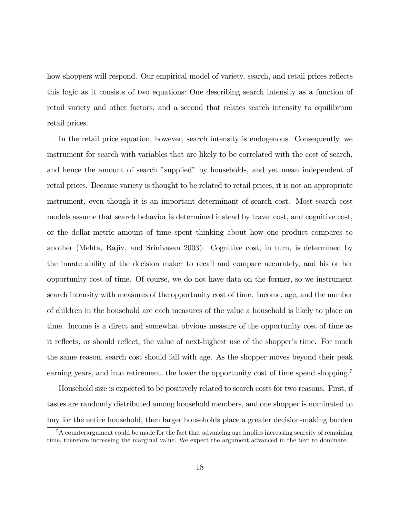how shoppers will respond. Our empirical model of variety, search, and retail prices reflects this logic as it consists of two equations: One describing search intensity as a function of retail variety and other factors, and a second that relates search intensity to equilibrium retail prices.

In the retail price equation, however, search intensity is endogenous. Consequently, we instrument for search with variables that are likely to be correlated with the cost of search, and hence the amount of search "supplied" by households, and yet mean independent of retail prices. Because variety is thought to be related to retail prices, it is not an appropriate instrument, even though it is an important determinant of search cost. Most search cost models assume that search behavior is determined instead by travel cost, and cognitive cost, or the dollar-metric amount of time spent thinking about how one product compares to another (Mehta, Rajiv, and Srinivasan 2003). Cognitive cost, in turn, is determined by the innate ability of the decision maker to recall and compare accurately, and his or her opportunity cost of time. Of course, we do not have data on the former, so we instrument search intensity with measures of the opportunity cost of time. Income, age, and the number of children in the household are each measures of the value a household is likely to place on time. Income is a direct and somewhat obvious measure of the opportunity cost of time as it reflects, or should reflect, the value of next-highest use of the shopper's time. For much the same reason, search cost should fall with age. As the shopper moves beyond their peak earning years, and into retirement, the lower the opportunity cost of time spend shopping.<sup>7</sup>

Household size is expected to be positively related to search costs for two reasons. First, if tastes are randomly distributed among household members, and one shopper is nominated to buy for the entire household, then larger households place a greater decision-making burden

 ${}^{7}$ A counterargument could be made for the fact that advancing age implies increasing scarcity of remaining time, therefore increasing the marginal value. We expect the argument advanced in the text to dominate.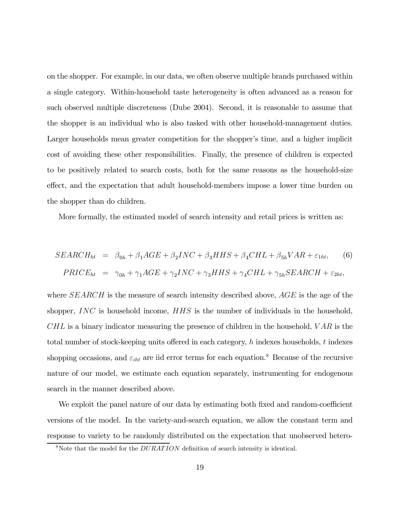on the shopper. For example, in our data, we often observe multiple brands purchased within a single category. Within-household taste heterogeneity is often advanced as a reason for such observed multiple discreteness (Dube 2004). Second, it is reasonable to assume that the shopper is an individual who is also tasked with other household-management duties. Larger households mean greater competition for the shopper's time, and a higher implicit cost of avoiding these other responsibilities. Finally, the presence of children is expected to be positively related to search costs, both for the same reasons as the household-size effect, and the expectation that adult household-members impose a lower time burden on the shopper than do children.

More formally, the estimated model of search intensity and retail prices is written as:

$$
SEARCH_{ht} = \beta_{0h} + \beta_1 AGE + \beta_2 INC + \beta_3 HHS + \beta_4 CHL + \beta_{5h} VAR + \varepsilon_{1ht}, \tag{6}
$$
  

$$
PRICE_{ht} = \gamma_{0h} + \gamma_1 AGE + \gamma_2 INC + \gamma_3 HHS + \gamma_4 CHL + \gamma_{5h} SEARCH + \varepsilon_{2ht},
$$

where  $SEARCH$  is the measure of search intensity described above,  $AGE$  is the age of the shopper,  $INC$  is household income,  $HHS$  is the number of individuals in the household,  $CHL$  is a binary indicator measuring the presence of children in the household,  $VAR$  is the total number of stock-keeping units offered in each category,  $h$  indexes households,  $t$  indexes shopping occasions, and  $\varepsilon_{iht}$  are iid error terms for each equation.<sup>8</sup> Because of the recursive nature of our model, we estimate each equation separately, instrumenting for endogenous search in the manner described above.

We exploit the panel nature of our data by estimating both fixed and random-coefficient versions of the model. In the variety-and-search equation, we allow the constant term and response to variety to be randomly distributed on the expectation that unobserved hetero-

 $8N$ ote that the model for the  $DURATION$  definition of search intensity is identical.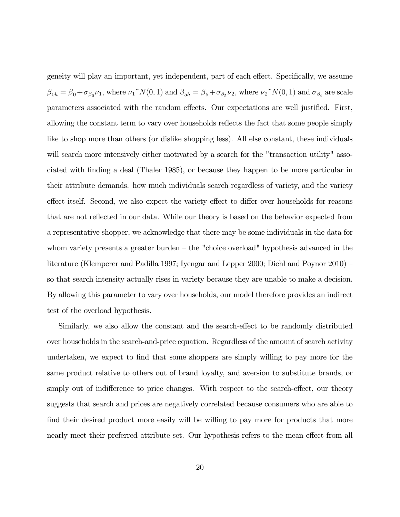geneity will play an important, yet independent, part of each effect. Specifically, we assume  $\beta_{0h} = \beta_0 + \sigma_{\beta_0} \nu_1$ , where  $\nu_1^N(N(0, 1))$  and  $\beta_{5h} = \beta_5 + \sigma_{\beta_5} \nu_2$ , where  $\nu_2^N(N(0, 1))$  and  $\sigma_{\beta_i}$  are scale parameters associated with the random effects. Our expectations are well justified. First, allowing the constant term to vary over households reflects the fact that some people simply like to shop more than others (or dislike shopping less). All else constant, these individuals will search more intensively either motivated by a search for the "transaction utility" associated with finding a deal (Thaler 1985), or because they happen to be more particular in their attribute demands. how much individuals search regardless of variety, and the variety effect itself. Second, we also expect the variety effect to differ over households for reasons that are not reflected in our data. While our theory is based on the behavior expected from a representative shopper, we acknowledge that there may be some individuals in the data for whom variety presents a greater burden — the "choice overload" hypothesis advanced in the literature (Klemperer and Padilla 1997; Iyengar and Lepper 2000; Diehl and Poynor 2010) so that search intensity actually rises in variety because they are unable to make a decision. By allowing this parameter to vary over households, our model therefore provides an indirect test of the overload hypothesis.

Similarly, we also allow the constant and the search-effect to be randomly distributed over households in the search-and-price equation. Regardless of the amount of search activity undertaken, we expect to find that some shoppers are simply willing to pay more for the same product relative to others out of brand loyalty, and aversion to substitute brands, or simply out of indifference to price changes. With respect to the search-effect, our theory suggests that search and prices are negatively correlated because consumers who are able to find their desired product more easily will be willing to pay more for products that more nearly meet their preferred attribute set. Our hypothesis refers to the mean effect from all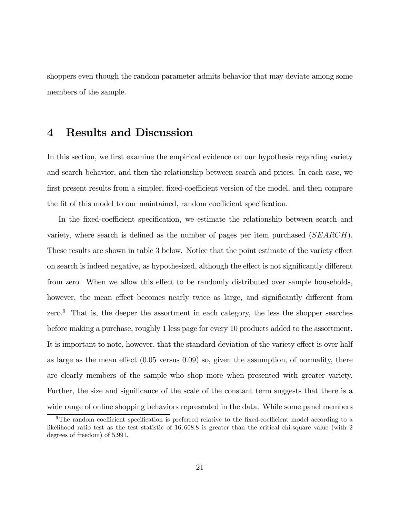shoppers even though the random parameter admits behavior that may deviate among some members of the sample.

### 4 Results and Discussion

In this section, we first examine the empirical evidence on our hypothesis regarding variety and search behavior, and then the relationship between search and prices. In each case, we first present results from a simpler, fixed-coefficient version of the model, and then compare the fit of this model to our maintained, random coefficient specification.

In the fixed-coefficient specification, we estimate the relationship between search and variety, where search is defined as the number of pages per item purchased  $(SEARCH)$ . These results are shown in table 3 below. Notice that the point estimate of the variety effect on search is indeed negative, as hypothesized, although the effect is not significantly different from zero. When we allow this effect to be randomly distributed over sample households, however, the mean effect becomes nearly twice as large, and significantly different from zero. $9$  That is, the deeper the assortment in each category, the less the shopper searches before making a purchase, roughly 1 less page for every 10 products added to the assortment. It is important to note, however, that the standard deviation of the variety effect is over half as large as the mean effect  $(0.05 \text{ versus } 0.09)$  so, given the assumption, of normality, there are clearly members of the sample who shop more when presented with greater variety. Further, the size and significance of the scale of the constant term suggests that there is a wide range of online shopping behaviors represented in the data. While some panel members

<sup>9</sup>The random coefficient specification is preferred relative to the fixed-coefficient model according to a likelihood ratio test as the test statistic of 16 6088 is greater than the critical chi-square value (with 2 degrees of freedom) of  $5.991$ .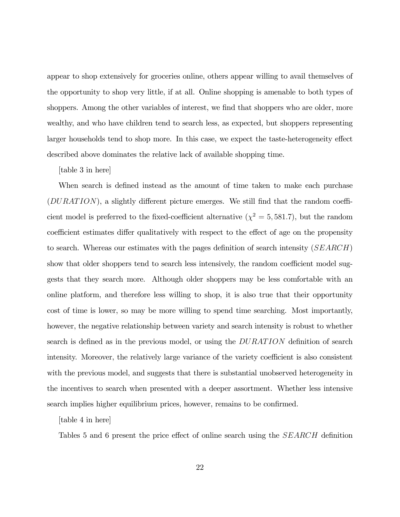appear to shop extensively for groceries online, others appear willing to avail themselves of the opportunity to shop very little, if at all. Online shopping is amenable to both types of shoppers. Among the other variables of interest, we find that shoppers who are older, more wealthy, and who have children tend to search less, as expected, but shoppers representing larger households tend to shop more. In this case, we expect the taste-heterogeneity effect described above dominates the relative lack of available shopping time.

[table 3 in here]

When search is defined instead as the amount of time taken to make each purchase  $(DURATION)$ , a slightly different picture emerges. We still find that the random coefficient model is preferred to the fixed-coefficient alternative ( $\chi^2 = 5,581.7$ ), but the random coefficient estimates differ qualitatively with respect to the effect of age on the propensity to search. Whereas our estimates with the pages definition of search intensity  $(SEARCH)$ show that older shoppers tend to search less intensively, the random coefficient model suggests that they search more. Although older shoppers may be less comfortable with an online platform, and therefore less willing to shop, it is also true that their opportunity cost of time is lower, so may be more willing to spend time searching. Most importantly, however, the negative relationship between variety and search intensity is robust to whether search is defined as in the previous model, or using the  $DURATION$  definition of search intensity. Moreover, the relatively large variance of the variety coefficient is also consistent with the previous model, and suggests that there is substantial unobserved heterogeneity in the incentives to search when presented with a deeper assortment. Whether less intensive search implies higher equilibrium prices, however, remains to be confirmed.

[table 4 in here]

Tables 5 and 6 present the price effect of online search using the  $SEARCH$  definition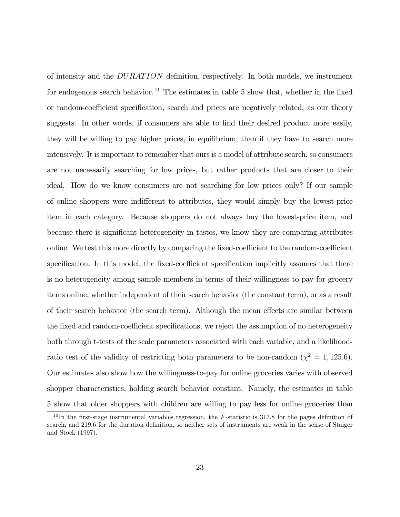of intensity and the  $DURATION$  definition, respectively. In both models, we instrument for endogenous search behavior.<sup>10</sup> The estimates in table 5 show that, whether in the fixed or random-coefficient specification, search and prices are negatively related, as our theory suggests. In other words, if consumers are able to find their desired product more easily, they will be willing to pay higher prices, in equilibrium, than if they have to search more intensively. It is important to remember that ours is a model of attribute search, so consumers are not necessarily searching for low prices, but rather products that are closer to their ideal. How do we know consumers are not searching for low prices only? If our sample of online shoppers were indifferent to attributes, they would simply buy the lowest-price item in each category. Because shoppers do not always buy the lowest-price item, and because there is significant heterogeneity in tastes, we know they are comparing attributes online. We test this more directly by comparing the fixed-coefficient to the random-coefficient specification. In this model, the fixed-coefficient specification implicitly assumes that there is no heterogeneity among sample members in terms of their willingness to pay for grocery items online, whether independent of their search behavior (the constant term), or as a result of their search behavior (the search term). Although the mean effects are similar between the fixed and random-coefficient specifications, we reject the assumption of no heterogeneity both through t-tests of the scale parameters associated with each variable, and a likelihoodratio test of the validity of restricting both parameters to be non-random ( $\chi^2 = 1,125.6$ ). Our estimates also show how the willingness-to-pay for online groceries varies with observed shopper characteristics, holding search behavior constant. Namely, the estimates in table 5 show that older shoppers with children are willing to pay less for online groceries than

 $10$ In the first-stage instrumental variables regression, the F-statistic is 317.8 for the pages definition of search, and 219.6 for the duration definition, so neither sets of instruments are weak in the sense of Staiger and Stock (1997).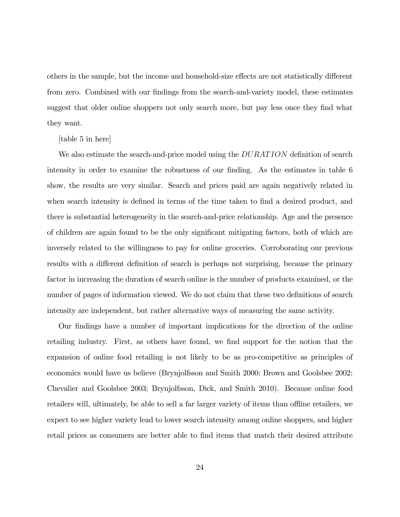others in the sample, but the income and household-size effects are not statistically different from zero. Combined with our findings from the search-and-variety model, these estimates suggest that older online shoppers not only search more, but pay less once they find what they want.

[table 5 in here]

We also estimate the search-and-price model using the  $DURATION$  definition of search intensity in order to examine the robustness of our finding. As the estimates in table 6 show, the results are very similar. Search and prices paid are again negatively related in when search intensity is defined in terms of the time taken to find a desired product, and there is substantial heterogeneity in the search-and-price relationship. Age and the presence of children are again found to be the only significant mitigating factors, both of which are inversely related to the willingness to pay for online groceries. Corroborating our previous results with a different definition of search is perhaps not surprising, because the primary factor in increasing the duration of search online is the number of products examined, or the number of pages of information viewed. We do not claim that these two definitions of search intensity are independent, but rather alternative ways of measuring the same activity.

Our findings have a number of important implications for the direction of the online retailing industry. First, as others have found, we find support for the notion that the expansion of online food retailing is not likely to be as pro-competitive as principles of economics would have us believe (Brynjolfsson and Smith 2000; Brown and Goolsbee 2002; Chevalier and Goolsbee 2003; Brynjolfsson, Dick, and Smith 2010). Because online food retailers will, ultimately, be able to sell a far larger variety of items than offline retailers, we expect to see higher variety lead to lower search intensity among online shoppers, and higher retail prices as consumers are better able to find items that match their desired attribute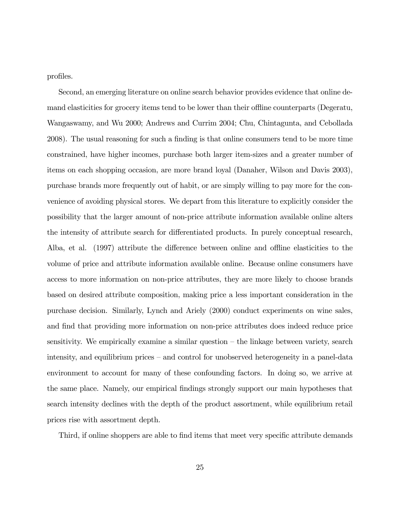profiles.

Second, an emerging literature on online search behavior provides evidence that online demand elasticities for grocery items tend to be lower than their offline counterparts (Degeratu, Wangaswamy, and Wu 2000; Andrews and Currim 2004; Chu, Chintagunta, and Cebollada 2008). The usual reasoning for such a finding is that online consumers tend to be more time constrained, have higher incomes, purchase both larger item-sizes and a greater number of items on each shopping occasion, are more brand loyal (Danaher, Wilson and Davis 2003), purchase brands more frequently out of habit, or are simply willing to pay more for the convenience of avoiding physical stores. We depart from this literature to explicitly consider the possibility that the larger amount of non-price attribute information available online alters the intensity of attribute search for differentiated products. In purely conceptual research, Alba, et al. (1997) attribute the difference between online and offline elasticities to the volume of price and attribute information available online. Because online consumers have access to more information on non-price attributes, they are more likely to choose brands based on desired attribute composition, making price a less important consideration in the purchase decision. Similarly, Lynch and Ariely (2000) conduct experiments on wine sales, and find that providing more information on non-price attributes does indeed reduce price sensitivity. We empirically examine a similar question — the linkage between variety, search intensity, and equilibrium prices — and control for unobserved heterogeneity in a panel-data environment to account for many of these confounding factors. In doing so, we arrive at the same place. Namely, our empirical findings strongly support our main hypotheses that search intensity declines with the depth of the product assortment, while equilibrium retail prices rise with assortment depth.

Third, if online shoppers are able to find items that meet very specific attribute demands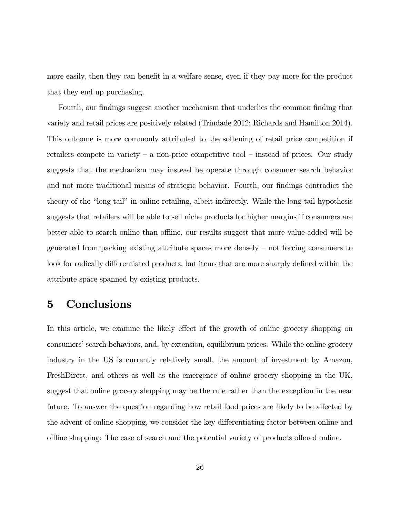more easily, then they can benefit in a welfare sense, even if they pay more for the product that they end up purchasing.

Fourth, our findings suggest another mechanism that underlies the common finding that variety and retail prices are positively related (Trindade 2012; Richards and Hamilton 2014). This outcome is more commonly attributed to the softening of retail price competition if retailers compete in variety – a non-price competitive tool – instead of prices. Our study suggests that the mechanism may instead be operate through consumer search behavior and not more traditional means of strategic behavior. Fourth, our findings contradict the theory of the "long tail" in online retailing, albeit indirectly. While the long-tail hypothesis suggests that retailers will be able to sell niche products for higher margins if consumers are better able to search online than offline, our results suggest that more value-added will be generated from packing existing attribute spaces more densely — not forcing consumers to look for radically differentiated products, but items that are more sharply defined within the attribute space spanned by existing products.

# 5 Conclusions

In this article, we examine the likely effect of the growth of online grocery shopping on consumers' search behaviors, and, by extension, equilibrium prices. While the online grocery industry in the US is currently relatively small, the amount of investment by Amazon, FreshDirect, and others as well as the emergence of online grocery shopping in the UK, suggest that online grocery shopping may be the rule rather than the exception in the near future. To answer the question regarding how retail food prices are likely to be affected by the advent of online shopping, we consider the key differentiating factor between online and offline shopping: The ease of search and the potential variety of products offered online.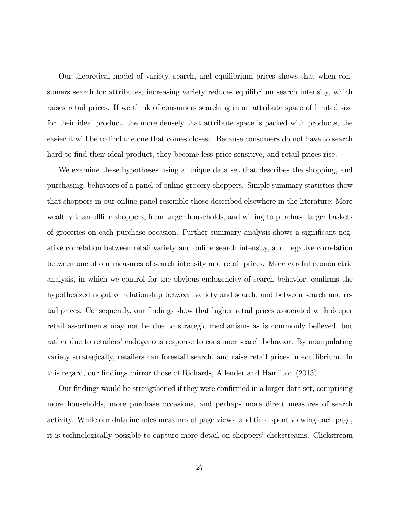Our theoretical model of variety, search, and equilibrium prices shows that when consumers search for attributes, increasing variety reduces equilibrium search intensity, which raises retail prices. If we think of consumers searching in an attribute space of limited size for their ideal product, the more densely that attribute space is packed with products, the easier it will be to find the one that comes closest. Because consumers do not have to search hard to find their ideal product, they become less price sensitive, and retail prices rise.

We examine these hypotheses using a unique data set that describes the shopping, and purchasing, behaviors of a panel of online grocery shoppers. Simple summary statistics show that shoppers in our online panel resemble those described elsewhere in the literature: More wealthy than offline shoppers, from larger households, and willing to purchase larger baskets of groceries on each purchase occasion. Further summary analysis shows a significant negative correlation between retail variety and online search intensity, and negative correlation between one of our measures of search intensity and retail prices. More careful econometric analysis, in which we control for the obvious endogeneity of search behavior, confirms the hypothesized negative relationship between variety and search, and between search and retail prices. Consequently, our findings show that higher retail prices associated with deeper retail assortments may not be due to strategic mechanisms as is commonly believed, but rather due to retailers' endogenous response to consumer search behavior. By manipulating variety strategically, retailers can forestall search, and raise retail prices in equilibrium. In this regard, our findings mirror those of Richards, Allender and Hamilton (2013).

Our findings would be strengthened if they were confirmed in a larger data set, comprising more households, more purchase occasions, and perhaps more direct measures of search activity. While our data includes measures of page views, and time spent viewing each page, it is technologically possible to capture more detail on shoppers' clickstreams. Clickstream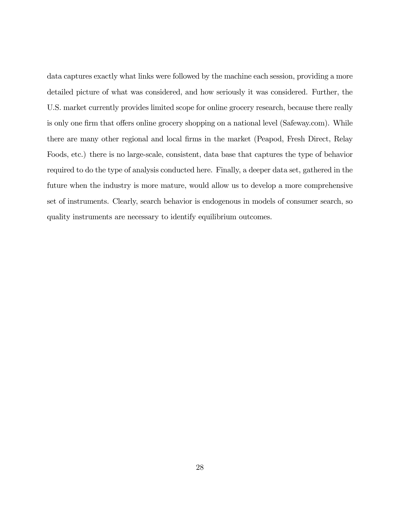data captures exactly what links were followed by the machine each session, providing a more detailed picture of what was considered, and how seriously it was considered. Further, the U.S. market currently provides limited scope for online grocery research, because there really is only one firm that offers online grocery shopping on a national level (Safeway.com). While there are many other regional and local firms in the market (Peapod, Fresh Direct, Relay Foods, etc.) there is no large-scale, consistent, data base that captures the type of behavior required to do the type of analysis conducted here. Finally, a deeper data set, gathered in the future when the industry is more mature, would allow us to develop a more comprehensive set of instruments. Clearly, search behavior is endogenous in models of consumer search, so quality instruments are necessary to identify equilibrium outcomes.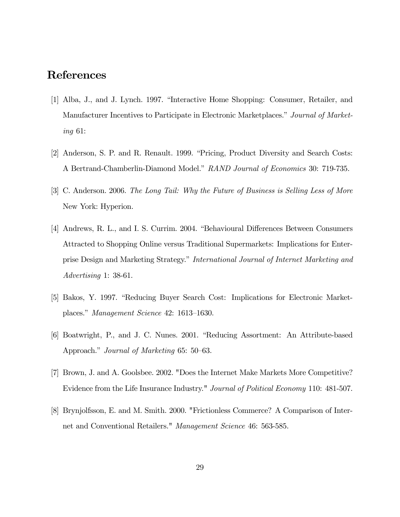# References

- [1] Alba, J., and J. Lynch. 1997. "Interactive Home Shopping: Consumer, Retailer, and Manufacturer Incentives to Participate in Electronic Marketplaces." Journal of Marketing 61:
- [2] Anderson, S. P. and R. Renault. 1999. "Pricing, Product Diversity and Search Costs: A Bertrand-Chamberlin-Diamond Model." RAND Journal of Economics 30: 719-735.
- [3] C. Anderson. 2006. The Long Tail: Why the Future of Business is Selling Less of More New York: Hyperion.
- [4] Andrews, R. L., and I. S. Currim. 2004. "Behavioural Differences Between Consumers Attracted to Shopping Online versus Traditional Supermarkets: Implications for Enterprise Design and Marketing Strategy." International Journal of Internet Marketing and Advertising 1: 38-61.
- [5] Bakos, Y. 1997. "Reducing Buyer Search Cost: Implications for Electronic Marketplaces." Management Science 42: 1613—1630.
- [6] Boatwright, P., and J. C. Nunes. 2001. "Reducing Assortment: An Attribute-based Approach." Journal of Marketing 65: 50—63.
- [7] Brown, J. and A. Goolsbee. 2002. "Does the Internet Make Markets More Competitive? Evidence from the Life Insurance Industry." *Journal of Political Economy* 110: 481-507.
- [8] Brynjolfsson, E. and M. Smith. 2000. "Frictionless Commerce? A Comparison of Internet and Conventional Retailers." Management Science 46: 563-585.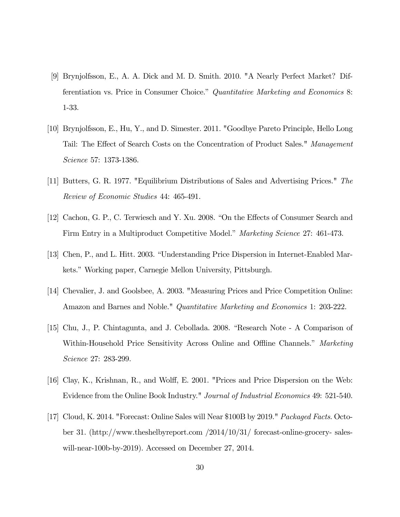- [9] Brynjolfsson, E., A. A. Dick and M. D. Smith. 2010. "A Nearly Perfect Market? Differentiation vs. Price in Consumer Choice." Quantitative Marketing and Economics 8: 1-33.
- [10] Brynjolfsson, E., Hu, Y., and D. Simester. 2011. "Goodbye Pareto Principle, Hello Long Tail: The Effect of Search Costs on the Concentration of Product Sales." Management Science 57: 1373-1386.
- [11] Butters, G. R. 1977. "Equilibrium Distributions of Sales and Advertising Prices." The Review of Economic Studies 44: 465-491.
- [12] Cachon, G. P., C. Terwiesch and Y. Xu. 2008. "On the Effects of Consumer Search and Firm Entry in a Multiproduct Competitive Model." Marketing Science 27: 461-473.
- [13] Chen, P., and L. Hitt. 2003. "Understanding Price Dispersion in Internet-Enabled Markets." Working paper, Carnegie Mellon University, Pittsburgh.
- [14] Chevalier, J. and Goolsbee, A. 2003. "Measuring Prices and Price Competition Online: Amazon and Barnes and Noble." *Quantitative Marketing and Economics* 1: 203-222.
- [15] Chu, J., P. Chintagunta, and J. Cebollada. 2008. "Research Note A Comparison of Within-Household Price Sensitivity Across Online and Offline Channels." Marketing Science 27: 283-299.
- [16] Clay, K., Krishnan, R., and Wolff, E. 2001. "Prices and Price Dispersion on the Web: Evidence from the Online Book Industry." Journal of Industrial Economics 49: 521-540.
- [17] Cloud, K. 2014. "Forecast: Online Sales will Near \$100B by 2019." Packaged Facts. October 31. (http://www.theshelbyreport.com /2014/10/31/ forecast-online-grocery- saleswill-near-100b-by-2019). Accessed on December 27, 2014.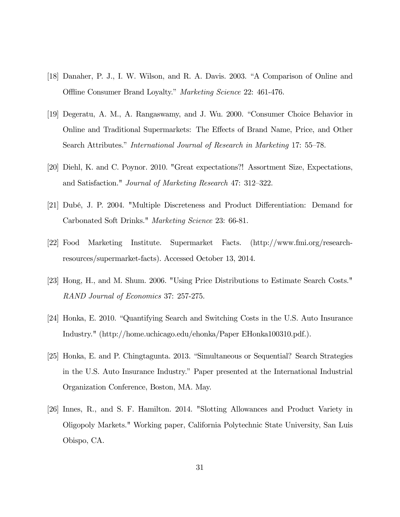- [18] Danaher, P. J., I. W. Wilson, and R. A. Davis. 2003. "A Comparison of Online and Offline Consumer Brand Loyalty." Marketing Science 22: 461-476.
- [19] Degeratu, A. M., A. Rangaswamy, and J. Wu. 2000. "Consumer Choice Behavior in Online and Traditional Supermarkets: The Effects of Brand Name, Price, and Other Search Attributes." International Journal of Research in Marketing 17: 55—78.
- [20] Diehl, K. and C. Poynor. 2010. "Great expectations?! Assortment Size, Expectations, and Satisfaction." Journal of Marketing Research 47: 312—322.
- [21] Dubé, J. P. 2004. "Multiple Discreteness and Product Differentiation: Demand for Carbonated Soft Drinks." Marketing Science 23: 66-81.
- [22] Food Marketing Institute. Supermarket Facts. (http://www.fmi.org/researchresources/supermarket-facts). Accessed October 13, 2014.
- [23] Hong, H., and M. Shum. 2006. "Using Price Distributions to Estimate Search Costs." RAND Journal of Economics 37: 257-275.
- [24] Honka, E. 2010. "Quantifying Search and Switching Costs in the U.S. Auto Insurance Industry." (http://home.uchicago.edu/ehonka/Paper EHonka100310.pdf.).
- [25] Honka, E. and P. Chingtagunta. 2013. "Simultaneous or Sequential? Search Strategies in the U.S. Auto Insurance Industry." Paper presented at the International Industrial Organization Conference, Boston, MA. May.
- [26] Innes, R., and S. F. Hamilton. 2014. "Slotting Allowances and Product Variety in Oligopoly Markets." Working paper, California Polytechnic State University, San Luis Obispo, CA.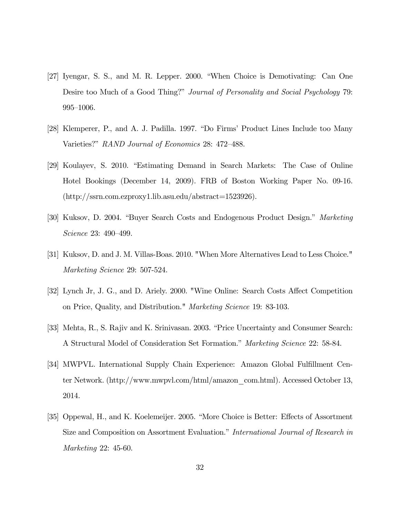- [27] Iyengar, S. S., and M. R. Lepper. 2000. "When Choice is Demotivating: Can One Desire too Much of a Good Thing?" Journal of Personality and Social Psychology 79: 995—1006.
- [28] Klemperer, P., and A. J. Padilla. 1997. "Do Firms' Product Lines Include too Many Varieties?" RAND Journal of Economics 28: 472—488.
- [29] Koulayev, S. 2010. "Estimating Demand in Search Markets: The Case of Online Hotel Bookings (December 14, 2009). FRB of Boston Working Paper No. 09-16. (http://ssrn.com.ezproxy1.lib.asu.edu/abstract=1523926).
- [30] Kuksov, D. 2004. "Buyer Search Costs and Endogenous Product Design." Marketing Science 23: 490—499.
- [31] Kuksov, D. and J. M. Villas-Boas. 2010. "When More Alternatives Lead to Less Choice." Marketing Science 29: 507-524.
- [32] Lynch Jr, J. G., and D. Ariely. 2000. "Wine Online: Search Costs Affect Competition on Price, Quality, and Distribution." Marketing Science 19: 83-103.
- [33] Mehta, R., S. Rajiv and K. Srinivasan. 2003. "Price Uncertainty and Consumer Search: A Structural Model of Consideration Set Formation." Marketing Science 22: 58-84.
- [34] MWPVL. International Supply Chain Experience: Amazon Global Fulfillment Center Network. (http://www.mwpvl.com/html/amazon\_com.html). Accessed October 13, 2014.
- [35] Oppewal, H., and K. Koelemeijer. 2005. "More Choice is Better: Effects of Assortment Size and Composition on Assortment Evaluation." International Journal of Research in Marketing 22: 45-60.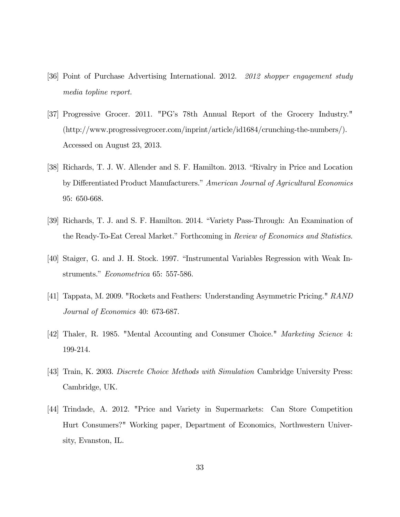- [36] Point of Purchase Advertising International. 2012. 2012 shopper engagement study media topline report.
- [37] Progressive Grocer. 2011. "PG's 78th Annual Report of the Grocery Industry." (http://www.progressivegrocer.com/inprint/article/id1684/crunching-the-numbers/). Accessed on August 23, 2013.
- [38] Richards, T. J. W. Allender and S. F. Hamilton. 2013. "Rivalry in Price and Location by Differentiated Product Manufacturers." American Journal of Agricultural Economics 95: 650-668.
- [39] Richards, T. J. and S. F. Hamilton. 2014. "Variety Pass-Through: An Examination of the Ready-To-Eat Cereal Market." Forthcoming in Review of Economics and Statistics.
- [40] Staiger, G. and J. H. Stock. 1997. "Instrumental Variables Regression with Weak Instruments." Econometrica 65: 557-586.
- [41] Tappata, M. 2009. "Rockets and Feathers: Understanding Asymmetric Pricing." RAND Journal of Economics 40: 673-687.
- [42] Thaler, R. 1985. "Mental Accounting and Consumer Choice." Marketing Science 4: 199-214.
- [43] Train, K. 2003. Discrete Choice Methods with Simulation Cambridge University Press: Cambridge, UK.
- [44] Trindade, A. 2012. "Price and Variety in Supermarkets: Can Store Competition Hurt Consumers?" Working paper, Department of Economics, Northwestern University, Evanston, IL.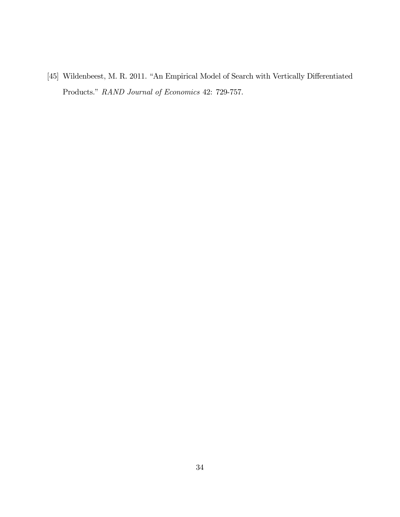[45] Wildenbeest, M. R. 2011. "An Empirical Model of Search with Vertically Differentiated Products." RAND Journal of Economics 42: 729-757.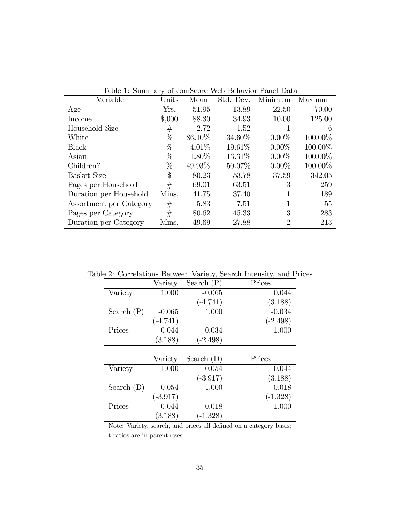| Variable                | $_{\rm Units}$ | Mean     | Std. Dev. | Minimum        | Maximum |
|-------------------------|----------------|----------|-----------|----------------|---------|
| Age                     | Yrs.           | 51.95    | 13.89     | 22.50          | 70.00   |
| Income                  | \$,000         | 88.30    | 34.93     | 10.00          | 125.00  |
| Household Size          | $^{\#}$        | 2.72     | 1.52      |                | 6       |
| White                   | $\%$           | 86.10\%  | 34.60%    | $0.00\%$       | 100.00% |
| <b>Black</b>            | $\%$           | $4.01\%$ | 19.61\%   | $0.00\%$       | 100.00% |
| Asian                   | $\%$           | 1.80\%   | 13.31\%   | $0.00\%$       | 100.00% |
| Children?               | $\%$           | 49.93%   | 50.07\%   | $0.00\%$       | 100.00% |
| <b>Basket Size</b>      | \$             | 180.23   | 53.78     | 37.59          | 342.05  |
| Pages per Household     | #              | 69.01    | 63.51     | 3              | 259     |
| Duration per Household  | Mins.          | 41.75    | 37.40     | 1              | 189     |
| Assortment per Category | #              | 5.83     | 7.51      | 1              | 55      |
| Pages per Category      | #              | 80.62    | 45.33     | 3              | 283     |
| Duration per Category   | Mins.          | 49.69    | 27.88     | $\overline{2}$ | 213     |

Table 1: Summary of comScore Web Behavior Panel Data

Table 2: Correlations Between Variety, Search Intensity, and Prices

|              | Variety    | Search $(P)$ | Prices     |
|--------------|------------|--------------|------------|
| Variety      | 1.000      | $-0.065$     | 0.044      |
|              |            | $(-4.741)$   | (3.188)    |
| Search $(P)$ | $-0.065$   | 1.000        | $-0.034$   |
|              | $(-4.741)$ |              | $(-2.498)$ |
| Prices       | 0.044      | $-0.034$     | 1.000      |
|              | (3.188)    | $(-2.498)$   |            |
|              |            |              |            |
|              |            |              |            |
|              | Variety    | Search $(D)$ | Prices     |
| Variety      | 1.000      | $-0.054$     | 0.044      |
|              |            | $(-3.917)$   | (3.188)    |
| Search $(D)$ | $-0.054$   | 1.000        | $-0.018$   |
|              | $(-3.917)$ |              | $(-1.328)$ |
| Prices       | 0.044      | $-0.018$     | 1.000      |

Note: Variety, search, and prices all defined on a category basis; t-ratios are in parentheses.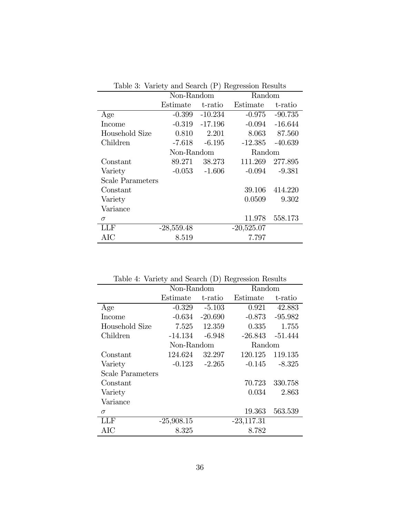| Table 3: Variety and Search (P) Regression Results |              |                  |              |           |  |  |
|----------------------------------------------------|--------------|------------------|--------------|-----------|--|--|
|                                                    | Non-Random   |                  | Random       |           |  |  |
|                                                    | Estimate     | t-ratio          | Estimate     | t-ratio   |  |  |
| Age                                                | $-0.399$     | $-10.234$        | $-0.975$     | $-90.735$ |  |  |
| Income                                             |              | $-0.319 -17.196$ | $-0.094$     | $-16.644$ |  |  |
| Household Size                                     | 0.810        | 2.201            | 8.063        | 87.560    |  |  |
| Children                                           | $-7.618$     | $-6.195$         | $-12.385$    | $-40.639$ |  |  |
|                                                    | Non-Random   |                  | Random       |           |  |  |
| Constant                                           | 89.271       | 38.273           | 111.269      | 277.895   |  |  |
| Variety                                            | $-0.053$     | $-1.606$         | $-0.094$     | $-9.381$  |  |  |
| <b>Scale Parameters</b>                            |              |                  |              |           |  |  |
| Constant                                           |              |                  | 39.106       | 414.220   |  |  |
| Variety                                            |              |                  | 0.0509       | 9.302     |  |  |
| Variance                                           |              |                  |              |           |  |  |
| $\sigma$                                           |              |                  | 11.978       | 558.173   |  |  |
| LLF                                                | $-28,559.48$ |                  | $-20,525.07$ |           |  |  |
| AIC                                                | 8.519        |                  | 7.797        |           |  |  |

Table 3: Variety and Search (P) Regression Results

| Table 4: Variety and Search (D) Regression Results |  |  |  |
|----------------------------------------------------|--|--|--|
|----------------------------------------------------|--|--|--|

|                         | Non-Random   |           | Random       |           |
|-------------------------|--------------|-----------|--------------|-----------|
|                         | Estimate     | t-ratio   | Estimate     | t-ratio   |
| Age                     | $-0.329$     | $-5.103$  | 0.921        | 42.883    |
| <b>Income</b>           | $-0.634$     | $-20.690$ | $-0.873$     | $-95.982$ |
| Household Size          | 7.525        | 12.359    | 0.335        | 1.755     |
| Children                | $-14.134$    | $-6.948$  | -26.843      | $-51.444$ |
|                         | Non-Random   |           | Random       |           |
| Constant                | 124.624      | 32.297    | 120.125      | 119.135   |
| Variety                 | $-0.123$     | $-2.265$  | $-0.145$     | $-8.325$  |
| <b>Scale Parameters</b> |              |           |              |           |
| Constant                |              |           | 70.723       | 330.758   |
| Variety                 |              |           | 0.034        | 2.863     |
| Variance                |              |           |              |           |
| $\sigma$                |              |           | 19.363       | 563.539   |
| LLF                     | $-25,908.15$ |           | $-23,117.31$ |           |
| AIC                     | 8.325        |           | 8.782        |           |